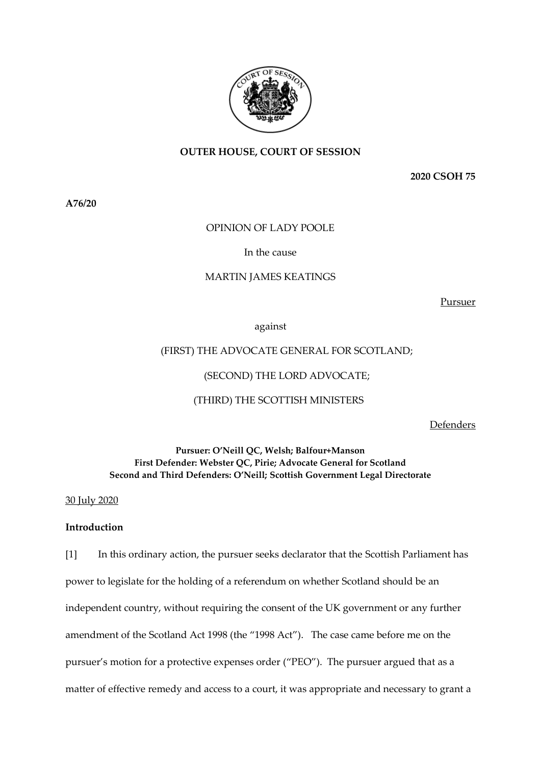

# **OUTER HOUSE, COURT OF SESSION**

**2020 CSOH 75**

**A76/20**

## OPINION OF LADY POOLE

#### In the cause

#### MARTIN JAMES KEATINGS

Pursuer

against

## (FIRST) THE ADVOCATE GENERAL FOR SCOTLAND;

## (SECOND) THE LORD ADVOCATE;

## (THIRD) THE SCOTTISH MINISTERS

Defenders

# **Pursuer: O'Neill QC, Welsh; Balfour+Manson First Defender: Webster QC, Pirie; Advocate General for Scotland Second and Third Defenders: O'Neill; Scottish Government Legal Directorate**

30 July 2020

## **Introduction**

[1] In this ordinary action, the pursuer seeks declarator that the Scottish Parliament has power to legislate for the holding of a referendum on whether Scotland should be an independent country, without requiring the consent of the UK government or any further amendment of the Scotland Act 1998 (the "1998 Act"). The case came before me on the pursuer's motion for a protective expenses order ("PEO"). The pursuer argued that as a matter of effective remedy and access to a court, it was appropriate and necessary to grant a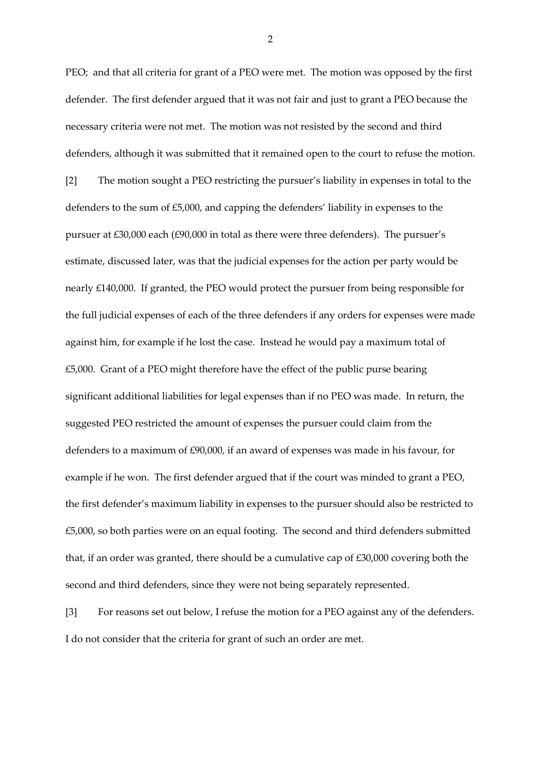PEO; and that all criteria for grant of a PEO were met. The motion was opposed by the first defender. The first defender argued that it was not fair and just to grant a PEO because the necessary criteria were not met. The motion was not resisted by the second and third defenders, although it was submitted that it remained open to the court to refuse the motion.

[2] The motion sought a PEO restricting the pursuer's liability in expenses in total to the defenders to the sum of £5,000, and capping the defenders' liability in expenses to the pursuer at £30,000 each (£90,000 in total as there were three defenders). The pursuer's estimate, discussed later, was that the judicial expenses for the action per party would be nearly £140,000. If granted, the PEO would protect the pursuer from being responsible for the full judicial expenses of each of the three defenders if any orders for expenses were made against him, for example if he lost the case. Instead he would pay a maximum total of £5,000. Grant of a PEO might therefore have the effect of the public purse bearing significant additional liabilities for legal expenses than if no PEO was made. In return, the suggested PEO restricted the amount of expenses the pursuer could claim from the defenders to a maximum of £90,000, if an award of expenses was made in his favour, for example if he won. The first defender argued that if the court was minded to grant a PEO, the first defender's maximum liability in expenses to the pursuer should also be restricted to £5,000, so both parties were on an equal footing. The second and third defenders submitted that, if an order was granted, there should be a cumulative cap of £30,000 covering both the second and third defenders, since they were not being separately represented.

[3] For reasons set out below, I refuse the motion for a PEO against any of the defenders. I do not consider that the criteria for grant of such an order are met.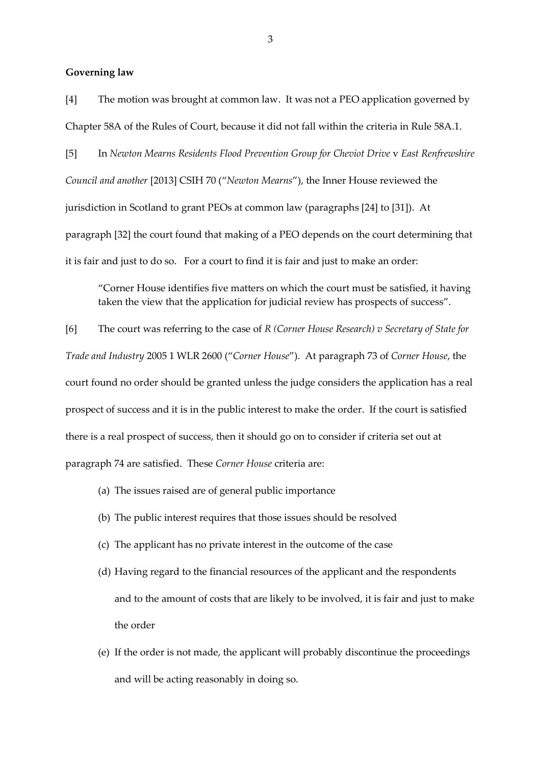#### **Governing law**

[4] The motion was brought at common law. It was not a PEO application governed by Chapter 58A of the Rules of Court, because it did not fall within the criteria in Rule 58A.1.

[5] In *Newton Mearns Residents Flood Prevention Group for Cheviot Drive* v *East Renfrewshire Council and another* [2013] CSIH 70 ("*Newton Mearns*"), the Inner House reviewed the jurisdiction in Scotland to grant PEOs at common law (paragraphs [24] to [31]). At paragraph [32] the court found that making of a PEO depends on the court determining that it is fair and just to do so. For a court to find it is fair and just to make an order:

"Corner House identifies five matters on which the court must be satisfied, it having taken the view that the application for judicial review has prospects of success".

[6] The court was referring to the case of *R (Corner House Research) v Secretary of State for Trade and Industry* 2005 1 WLR 2600 ("*Corner House*"). At paragraph 73 of *Corner House*, the court found no order should be granted unless the judge considers the application has a real prospect of success and it is in the public interest to make the order. If the court is satisfied there is a real prospect of success, then it should go on to consider if criteria set out at paragraph 74 are satisfied. These *Corner House* criteria are:

- (a) The issues raised are of general public importance
- (b) The public interest requires that those issues should be resolved
- (c) The applicant has no private interest in the outcome of the case
- (d) Having regard to the financial resources of the applicant and the respondents and to the amount of costs that are likely to be involved, it is fair and just to make the order
- (e) If the order is not made, the applicant will probably discontinue the proceedings and will be acting reasonably in doing so.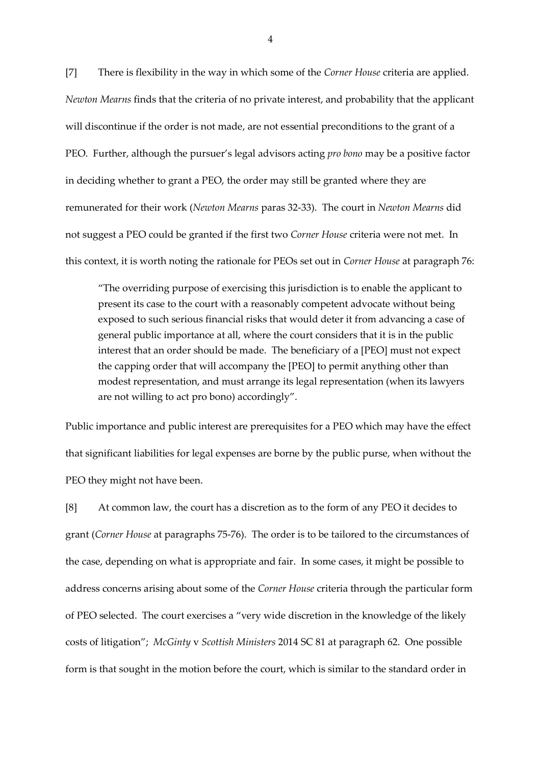[7] There is flexibility in the way in which some of the *Corner House* criteria are applied. *Newton Mearns* finds that the criteria of no private interest, and probability that the applicant will discontinue if the order is not made, are not essential preconditions to the grant of a PEO. Further, although the pursuer's legal advisors acting *pro bono* may be a positive factor in deciding whether to grant a PEO, the order may still be granted where they are remunerated for their work (*Newton Mearns* paras 32-33). The court in *Newton Mearns* did not suggest a PEO could be granted if the first two *Corner House* criteria were not met. In this context, it is worth noting the rationale for PEOs set out in *Corner House* at paragraph 76:

"The overriding purpose of exercising this jurisdiction is to enable the applicant to present its case to the court with a reasonably competent advocate without being exposed to such serious financial risks that would deter it from advancing a case of general public importance at all, where the court considers that it is in the public interest that an order should be made. The beneficiary of a [PEO] must not expect the capping order that will accompany the [PEO] to permit anything other than modest representation, and must arrange its legal representation (when its lawyers are not willing to act pro bono) accordingly".

Public importance and public interest are prerequisites for a PEO which may have the effect that significant liabilities for legal expenses are borne by the public purse, when without the PEO they might not have been.

[8] At common law, the court has a discretion as to the form of any PEO it decides to grant (*Corner House* at paragraphs 75-76). The order is to be tailored to the circumstances of the case, depending on what is appropriate and fair. In some cases, it might be possible to address concerns arising about some of the *Corner House* criteria through the particular form of PEO selected. The court exercises a "very wide discretion in the knowledge of the likely costs of litigation"; *McGinty* v *Scottish Ministers* 2014 SC 81 at paragraph 62. One possible form is that sought in the motion before the court, which is similar to the standard order in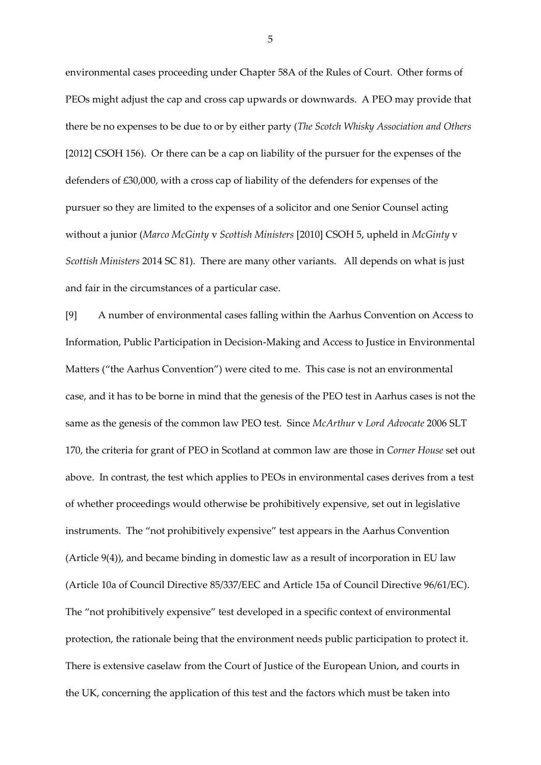environmental cases proceeding under Chapter 58A of the Rules of Court. Other forms of PEOs might adjust the cap and cross cap upwards or downwards. A PEO may provide that there be no expenses to be due to or by either party (*The Scotch Whisky Association and Others* [2012] CSOH 156). Or there can be a cap on liability of the pursuer for the expenses of the defenders of £30,000, with a cross cap of liability of the defenders for expenses of the pursuer so they are limited to the expenses of a solicitor and one Senior Counsel acting without a junior (*Marco McGinty* v *Scottish Ministers* [2010] CSOH 5, upheld in *McGinty* v *Scottish Ministers* 2014 SC 81). There are many other variants. All depends on what is just and fair in the circumstances of a particular case.

[9] A number of environmental cases falling within the Aarhus Convention on Access to Information, Public Participation in Decision-Making and Access to Justice in Environmental Matters ("the Aarhus Convention") were cited to me. This case is not an environmental case, and it has to be borne in mind that the genesis of the PEO test in Aarhus cases is not the same as the genesis of the common law PEO test. Since *McArthur* v *Lord Advocate* 2006 SLT 170, the criteria for grant of PEO in Scotland at common law are those in *Corner House* set out above. In contrast, the test which applies to PEOs in environmental cases derives from a test of whether proceedings would otherwise be prohibitively expensive, set out in legislative instruments. The "not prohibitively expensive" test appears in the Aarhus Convention (Article 9(4)), and became binding in domestic law as a result of incorporation in EU law [\(Article 10a of Council Directive 85/337/EEC](https://uk.westlaw.com/Document/IB1C31E8223C24B11B458CD3532F191CA/View/FullText.html?originationContext=document&transitionType=DocumentItem&contextData=%28sc.Search%29&comp=wluk) and [Article 15a of Council Directive 96/61/EC\)](https://uk.westlaw.com/Document/IB22AFF56939C439A9ECD4B4C27F8107C/View/FullText.html?originationContext=document&transitionType=DocumentItem&contextData=(sc.Search)). The "not prohibitively expensive" test developed in a specific context of environmental protection, the rationale being that the environment needs public participation to protect it. There is extensive caselaw from the Court of Justice of the European Union, and courts in the UK, concerning the application of this test and the factors which must be taken into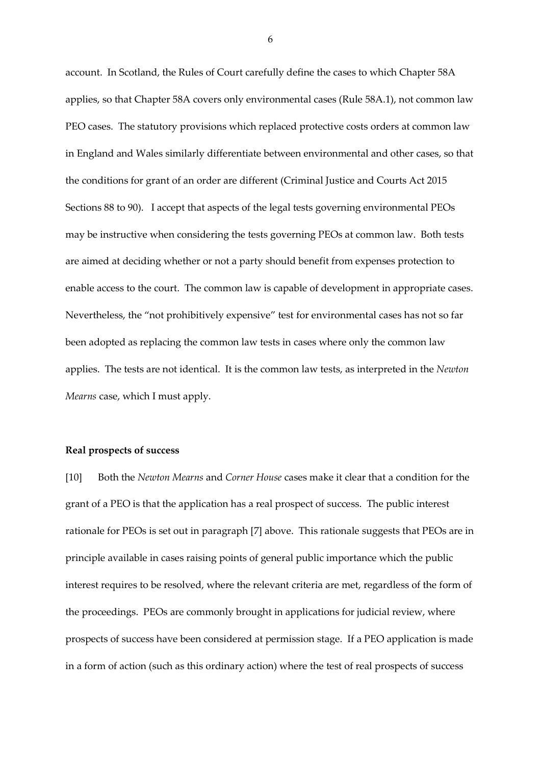account. In Scotland, the Rules of Court carefully define the cases to which Chapter 58A applies, so that Chapter 58A covers only environmental cases (Rule 58A.1), not common law PEO cases. The statutory provisions which replaced protective costs orders at common law in England and Wales similarly differentiate between environmental and other cases, so that the conditions for grant of an order are different (Criminal Justice and Courts Act 2015 Sections 88 to 90). I accept that aspects of the legal tests governing environmental PEOs may be instructive when considering the tests governing PEOs at common law. Both tests are aimed at deciding whether or not a party should benefit from expenses protection to enable access to the court. The common law is capable of development in appropriate cases. Nevertheless, the "not prohibitively expensive" test for environmental cases has not so far been adopted as replacing the common law tests in cases where only the common law applies. The tests are not identical. It is the common law tests, as interpreted in the *Newton Mearns* case, which I must apply.

#### **Real prospects of success**

[10] Both the *Newton Mearns* and *Corner House* cases make it clear that a condition for the grant of a PEO is that the application has a real prospect of success. The public interest rationale for PEOs is set out in paragraph [7] above. This rationale suggests that PEOs are in principle available in cases raising points of general public importance which the public interest requires to be resolved, where the relevant criteria are met, regardless of the form of the proceedings. PEOs are commonly brought in applications for judicial review, where prospects of success have been considered at permission stage. If a PEO application is made in a form of action (such as this ordinary action) where the test of real prospects of success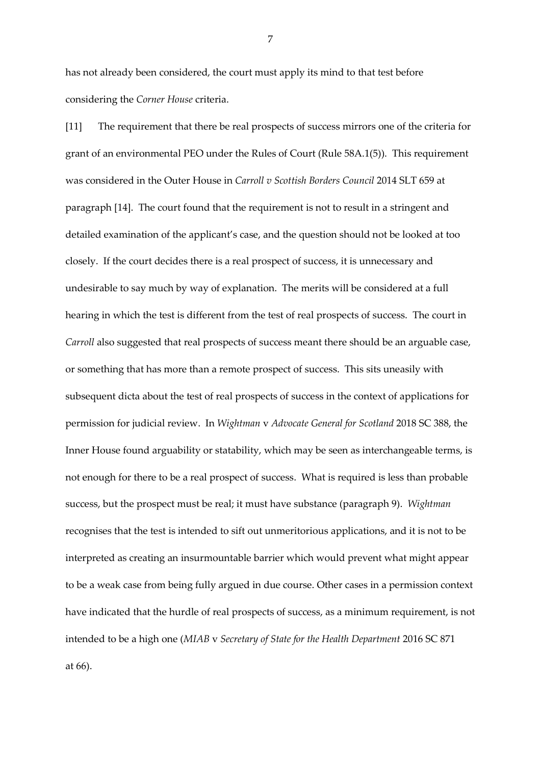has not already been considered, the court must apply its mind to that test before considering the *Corner House* criteria.

[11] The requirement that there be real prospects of success mirrors one of the criteria for grant of an environmental PEO under the Rules of Court (Rule 58A.1(5)). This requirement was considered in the Outer House in *Carroll v Scottish Borders Council* 2014 SLT 659 at paragraph [14]. The court found that the requirement is not to result in a stringent and detailed examination of the applicant's case, and the question should not be looked at too closely. If the court decides there is a real prospect of success, it is unnecessary and undesirable to say much by way of explanation. The merits will be considered at a full hearing in which the test is different from the test of real prospects of success. The court in *Carroll* also suggested that real prospects of success meant there should be an arguable case, or something that has more than a remote prospect of success. This sits uneasily with subsequent dicta about the test of real prospects of success in the context of applications for permission for judicial review. In *Wightman* v *Advocate General for Scotland* 2018 SC 388, the Inner House found arguability or statability, which may be seen as interchangeable terms, is not enough for there to be a real prospect of success. What is required is less than probable success, but the prospect must be real; it must have substance (paragraph 9). *Wightman* recognises that the test is intended to sift out unmeritorious applications, and it is not to be interpreted as creating an insurmountable barrier which would prevent what might appear to be a weak case from being fully argued in due course. Other cases in a permission context have indicated that the hurdle of real prospects of success, as a minimum requirement, is not intended to be a high one (*MIAB* v *Secretary of State for the Health Department* 2016 SC 871 at 66).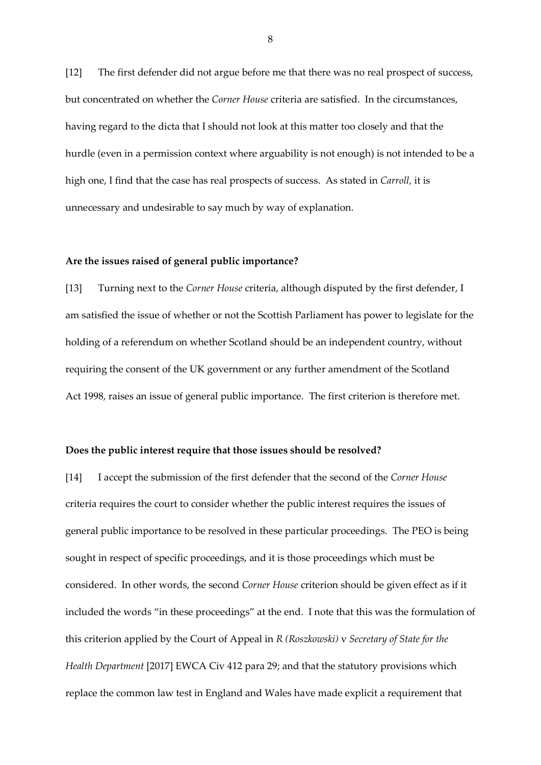[12] The first defender did not argue before me that there was no real prospect of success, but concentrated on whether the *Corner House* criteria are satisfied. In the circumstances, having regard to the dicta that I should not look at this matter too closely and that the hurdle (even in a permission context where arguability is not enough) is not intended to be a high one, I find that the case has real prospects of success. As stated in *Carroll,* it is unnecessary and undesirable to say much by way of explanation.

#### **Are the issues raised of general public importance?**

[13] Turning next to the *Corner House* criteria, although disputed by the first defender, I am satisfied the issue of whether or not the Scottish Parliament has power to legislate for the holding of a referendum on whether Scotland should be an independent country, without requiring the consent of the UK government or any further amendment of the Scotland Act 1998, raises an issue of general public importance. The first criterion is therefore met.

#### **Does the public interest require that those issues should be resolved?**

[14] I accept the submission of the first defender that the second of the *Corner House* criteria requires the court to consider whether the public interest requires the issues of general public importance to be resolved in these particular proceedings. The PEO is being sought in respect of specific proceedings, and it is those proceedings which must be considered. In other words, the second *Corner House* criterion should be given effect as if it included the words "in these proceedings" at the end. I note that this was the formulation of this criterion applied by the Court of Appeal in *R (Roszkowski)* v *Secretary of State for the Health Department* [2017] EWCA Civ 412 para 29; and that the statutory provisions which replace the common law test in England and Wales have made explicit a requirement that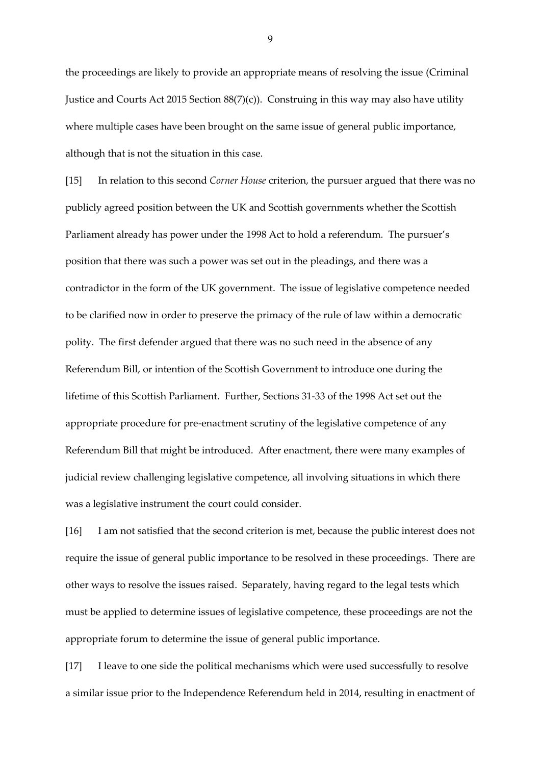the proceedings are likely to provide an appropriate means of resolving the issue (Criminal Justice and Courts Act 2015 Section 88(7)(c)). Construing in this way may also have utility where multiple cases have been brought on the same issue of general public importance, although that is not the situation in this case.

[15] In relation to this second *Corner House* criterion, the pursuer argued that there was no publicly agreed position between the UK and Scottish governments whether the Scottish Parliament already has power under the 1998 Act to hold a referendum. The pursuer's position that there was such a power was set out in the pleadings, and there was a contradictor in the form of the UK government. The issue of legislative competence needed to be clarified now in order to preserve the primacy of the rule of law within a democratic polity. The first defender argued that there was no such need in the absence of any Referendum Bill, or intention of the Scottish Government to introduce one during the lifetime of this Scottish Parliament. Further, Sections 31-33 of the 1998 Act set out the appropriate procedure for pre-enactment scrutiny of the legislative competence of any Referendum Bill that might be introduced. After enactment, there were many examples of judicial review challenging legislative competence, all involving situations in which there was a legislative instrument the court could consider.

[16] I am not satisfied that the second criterion is met, because the public interest does not require the issue of general public importance to be resolved in these proceedings. There are other ways to resolve the issues raised. Separately, having regard to the legal tests which must be applied to determine issues of legislative competence, these proceedings are not the appropriate forum to determine the issue of general public importance.

[17] I leave to one side the political mechanisms which were used successfully to resolve a similar issue prior to the Independence Referendum held in 2014, resulting in enactment of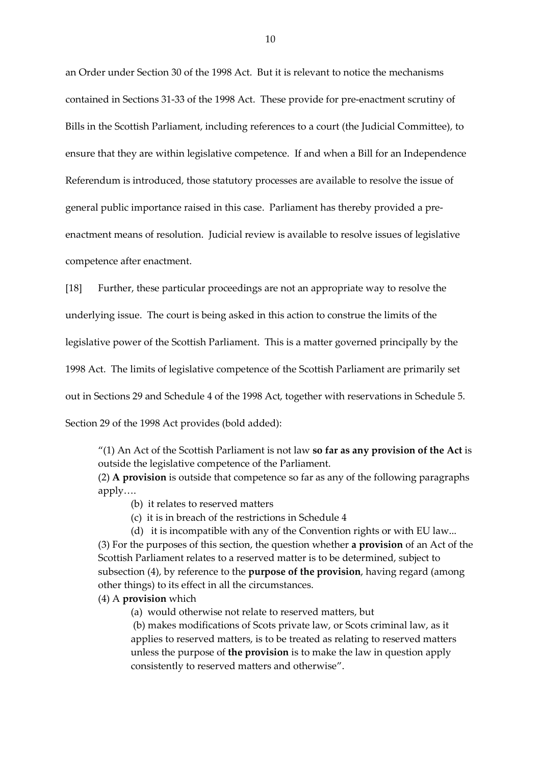an Order under Section 30 of the 1998 Act. But it is relevant to notice the mechanisms contained in Sections 31-33 of the 1998 Act. These provide for pre-enactment scrutiny of Bills in the Scottish Parliament, including references to a court (the Judicial Committee), to ensure that they are within legislative competence. If and when a Bill for an Independence Referendum is introduced, those statutory processes are available to resolve the issue of general public importance raised in this case. Parliament has thereby provided a preenactment means of resolution. Judicial review is available to resolve issues of legislative competence after enactment.

[18] Further, these particular proceedings are not an appropriate way to resolve the

underlying issue. The court is being asked in this action to construe the limits of the

legislative power of the Scottish Parliament. This is a matter governed principally by the

1998 Act. The limits of legislative competence of the Scottish Parliament are primarily set

out in Sections 29 and Schedule 4 of the 1998 Act, together with reservations in Schedule 5.

Section 29 of the 1998 Act provides (bold added):

"(1) An Act of the Scottish Parliament is not law **so far as any provision of the Act** is outside the legislative competence of the Parliament.

(2) **A provision** is outside that competence so far as any of the following paragraphs apply….

- (b) it relates to reserved matters
- (c) it is in breach of the restrictions in Schedule 4

(d) it is incompatible with any of the Convention rights or with EU law... (3) For the purposes of this section, the question whether **a provision** of an Act of the Scottish Parliament relates to a reserved matter is to be determined, subject to subsection (4), by reference to the **purpose of the provision**, having regard (among other things) to its effect in all the circumstances.

## (4) A **provision** which

(a) would otherwise not relate to reserved matters, but

(b) makes modifications of Scots private law, or Scots criminal law, as it applies to reserved matters, is to be treated as relating to reserved matters unless the purpose of **the provision** is to make the law in question apply consistently to reserved matters and otherwise".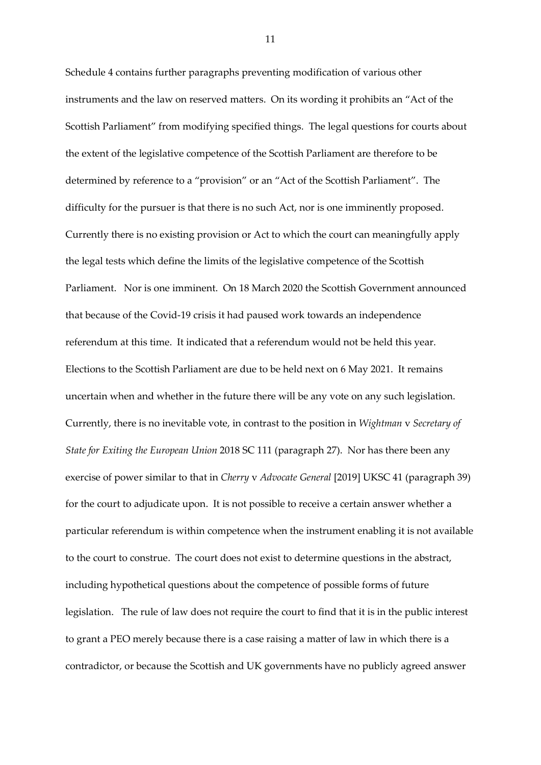Schedule 4 contains further paragraphs preventing modification of various other instruments and the law on reserved matters. On its wording it prohibits an "Act of the Scottish Parliament" from modifying specified things. The legal questions for courts about the extent of the legislative competence of the Scottish Parliament are therefore to be determined by reference to a "provision" or an "Act of the Scottish Parliament". The difficulty for the pursuer is that there is no such Act, nor is one imminently proposed. Currently there is no existing provision or Act to which the court can meaningfully apply the legal tests which define the limits of the legislative competence of the Scottish Parliament. Nor is one imminent. On 18 March 2020 the Scottish Government announced that because of the Covid-19 crisis it had paused work towards an independence referendum at this time. It indicated that a referendum would not be held this year. Elections to the Scottish Parliament are due to be held next on 6 May 2021. It remains uncertain when and whether in the future there will be any vote on any such legislation. Currently, there is no inevitable vote, in contrast to the position in *Wightman* v *Secretary of State for Exiting the European Union* 2018 SC 111 (paragraph 27). Nor has there been any exercise of power similar to that in *Cherry* v *Advocate General* [2019] UKSC 41 (paragraph 39) for the court to adjudicate upon. It is not possible to receive a certain answer whether a particular referendum is within competence when the instrument enabling it is not available to the court to construe. The court does not exist to determine questions in the abstract, including hypothetical questions about the competence of possible forms of future legislation. The rule of law does not require the court to find that it is in the public interest to grant a PEO merely because there is a case raising a matter of law in which there is a contradictor, or because the Scottish and UK governments have no publicly agreed answer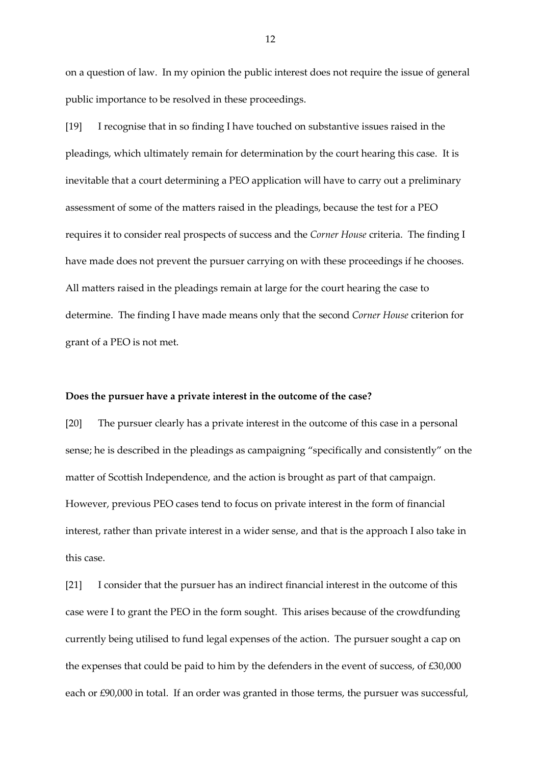on a question of law. In my opinion the public interest does not require the issue of general public importance to be resolved in these proceedings.

[19] I recognise that in so finding I have touched on substantive issues raised in the pleadings, which ultimately remain for determination by the court hearing this case. It is inevitable that a court determining a PEO application will have to carry out a preliminary assessment of some of the matters raised in the pleadings, because the test for a PEO requires it to consider real prospects of success and the *Corner House* criteria. The finding I have made does not prevent the pursuer carrying on with these proceedings if he chooses. All matters raised in the pleadings remain at large for the court hearing the case to determine. The finding I have made means only that the second *Corner House* criterion for grant of a PEO is not met.

## **Does the pursuer have a private interest in the outcome of the case?**

[20] The pursuer clearly has a private interest in the outcome of this case in a personal sense; he is described in the pleadings as campaigning "specifically and consistently" on the matter of Scottish Independence, and the action is brought as part of that campaign. However, previous PEO cases tend to focus on private interest in the form of financial interest, rather than private interest in a wider sense, and that is the approach I also take in this case.

[21] I consider that the pursuer has an indirect financial interest in the outcome of this case were I to grant the PEO in the form sought. This arises because of the crowdfunding currently being utilised to fund legal expenses of the action. The pursuer sought a cap on the expenses that could be paid to him by the defenders in the event of success, of £30,000 each or £90,000 in total. If an order was granted in those terms, the pursuer was successful,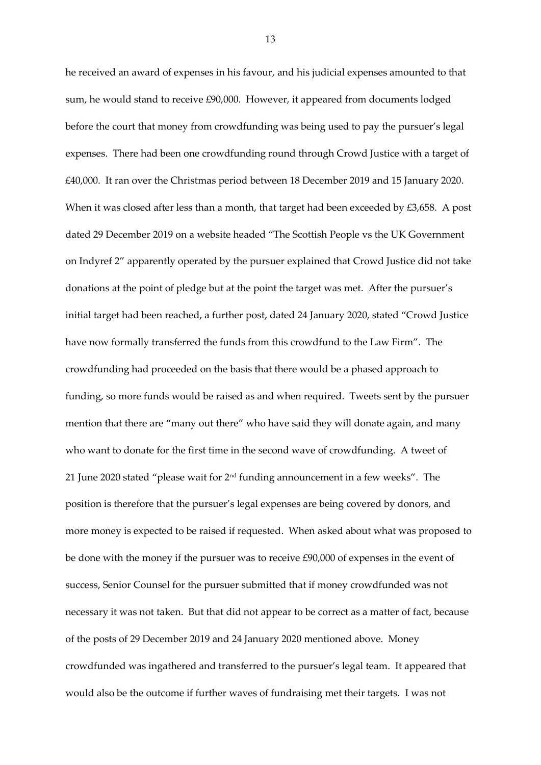he received an award of expenses in his favour, and his judicial expenses amounted to that sum, he would stand to receive £90,000. However, it appeared from documents lodged before the court that money from crowdfunding was being used to pay the pursuer's legal expenses. There had been one crowdfunding round through Crowd Justice with a target of £40,000. It ran over the Christmas period between 18 December 2019 and 15 January 2020. When it was closed after less than a month, that target had been exceeded by £3,658. A post dated 29 December 2019 on a website headed "The Scottish People vs the UK Government on Indyref 2" apparently operated by the pursuer explained that Crowd Justice did not take donations at the point of pledge but at the point the target was met. After the pursuer's initial target had been reached, a further post, dated 24 January 2020, stated "Crowd Justice have now formally transferred the funds from this crowdfund to the Law Firm". The crowdfunding had proceeded on the basis that there would be a phased approach to funding, so more funds would be raised as and when required. Tweets sent by the pursuer mention that there are "many out there" who have said they will donate again, and many who want to donate for the first time in the second wave of crowdfunding. A tweet of 21 June 2020 stated "please wait for 2nd funding announcement in a few weeks". The position is therefore that the pursuer's legal expenses are being covered by donors, and more money is expected to be raised if requested. When asked about what was proposed to be done with the money if the pursuer was to receive £90,000 of expenses in the event of success, Senior Counsel for the pursuer submitted that if money crowdfunded was not necessary it was not taken. But that did not appear to be correct as a matter of fact, because of the posts of 29 December 2019 and 24 January 2020 mentioned above. Money crowdfunded was ingathered and transferred to the pursuer's legal team. It appeared that would also be the outcome if further waves of fundraising met their targets. I was not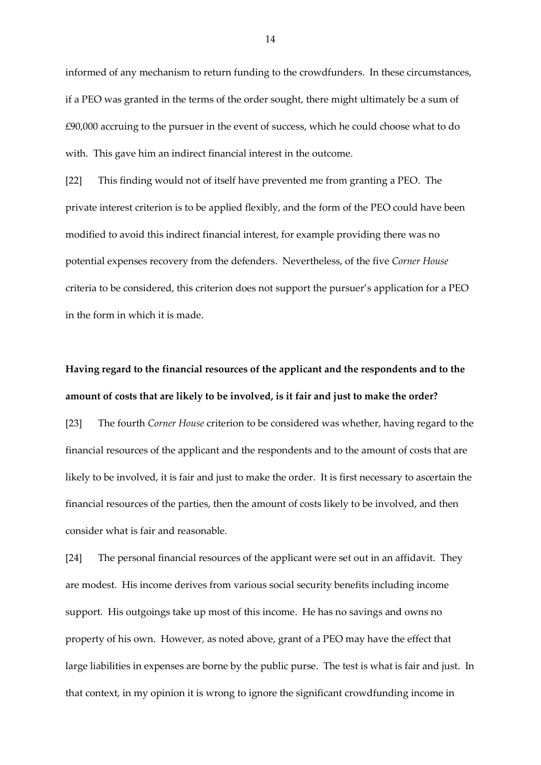informed of any mechanism to return funding to the crowdfunders. In these circumstances, if a PEO was granted in the terms of the order sought, there might ultimately be a sum of £90,000 accruing to the pursuer in the event of success, which he could choose what to do with. This gave him an indirect financial interest in the outcome.

[22] This finding would not of itself have prevented me from granting a PEO. The private interest criterion is to be applied flexibly, and the form of the PEO could have been modified to avoid this indirect financial interest, for example providing there was no potential expenses recovery from the defenders. Nevertheless, of the five *Corner House*  criteria to be considered, this criterion does not support the pursuer's application for a PEO in the form in which it is made.

# **Having regard to the financial resources of the applicant and the respondents and to the amount of costs that are likely to be involved, is it fair and just to make the order?**

[23] The fourth *Corner House* criterion to be considered was whether, having regard to the financial resources of the applicant and the respondents and to the amount of costs that are likely to be involved, it is fair and just to make the order. It is first necessary to ascertain the financial resources of the parties, then the amount of costs likely to be involved, and then consider what is fair and reasonable.

[24] The personal financial resources of the applicant were set out in an affidavit. They are modest. His income derives from various social security benefits including income support. His outgoings take up most of this income. He has no savings and owns no property of his own. However, as noted above, grant of a PEO may have the effect that large liabilities in expenses are borne by the public purse. The test is what is fair and just. In that context, in my opinion it is wrong to ignore the significant crowdfunding income in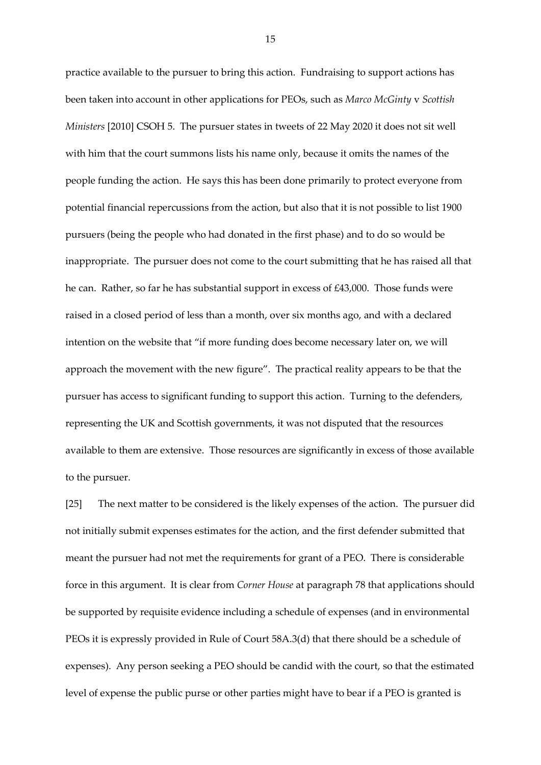practice available to the pursuer to bring this action. Fundraising to support actions has been taken into account in other applications for PEOs, such as *Marco McGinty* v *Scottish Ministers* [2010] CSOH 5. The pursuer states in tweets of 22 May 2020 it does not sit well with him that the court summons lists his name only, because it omits the names of the people funding the action. He says this has been done primarily to protect everyone from potential financial repercussions from the action, but also that it is not possible to list 1900 pursuers (being the people who had donated in the first phase) and to do so would be inappropriate. The pursuer does not come to the court submitting that he has raised all that he can. Rather, so far he has substantial support in excess of £43,000. Those funds were raised in a closed period of less than a month, over six months ago, and with a declared intention on the website that "if more funding does become necessary later on, we will approach the movement with the new figure". The practical reality appears to be that the pursuer has access to significant funding to support this action. Turning to the defenders, representing the UK and Scottish governments, it was not disputed that the resources available to them are extensive. Those resources are significantly in excess of those available to the pursuer.

[25] The next matter to be considered is the likely expenses of the action. The pursuer did not initially submit expenses estimates for the action, and the first defender submitted that meant the pursuer had not met the requirements for grant of a PEO. There is considerable force in this argument. It is clear from *Corner House* at paragraph 78 that applications should be supported by requisite evidence including a schedule of expenses (and in environmental PEOs it is expressly provided in Rule of Court 58A.3(d) that there should be a schedule of expenses). Any person seeking a PEO should be candid with the court, so that the estimated level of expense the public purse or other parties might have to bear if a PEO is granted is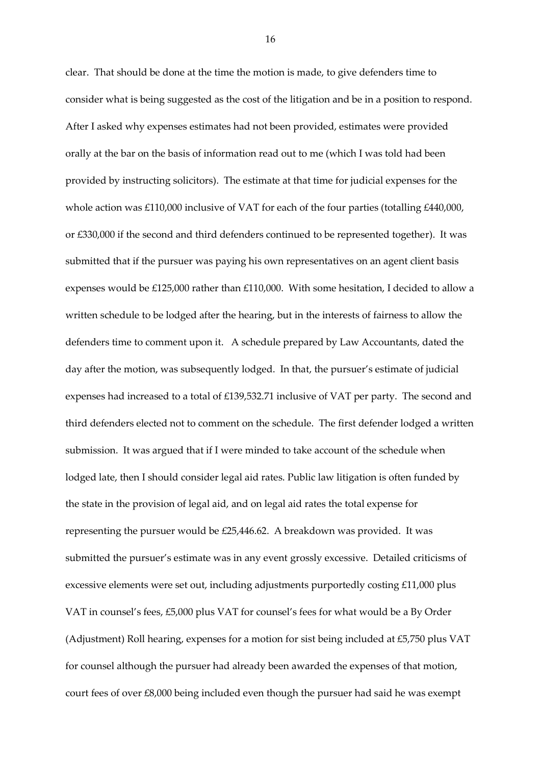clear. That should be done at the time the motion is made, to give defenders time to consider what is being suggested as the cost of the litigation and be in a position to respond. After I asked why expenses estimates had not been provided, estimates were provided orally at the bar on the basis of information read out to me (which I was told had been provided by instructing solicitors). The estimate at that time for judicial expenses for the whole action was £110,000 inclusive of VAT for each of the four parties (totalling £440,000, or £330,000 if the second and third defenders continued to be represented together). It was submitted that if the pursuer was paying his own representatives on an agent client basis expenses would be £125,000 rather than £110,000. With some hesitation, I decided to allow a written schedule to be lodged after the hearing, but in the interests of fairness to allow the defenders time to comment upon it. A schedule prepared by Law Accountants, dated the day after the motion, was subsequently lodged. In that, the pursuer's estimate of judicial expenses had increased to a total of £139,532.71 inclusive of VAT per party. The second and third defenders elected not to comment on the schedule. The first defender lodged a written submission. It was argued that if I were minded to take account of the schedule when lodged late, then I should consider legal aid rates. Public law litigation is often funded by the state in the provision of legal aid, and on legal aid rates the total expense for representing the pursuer would be £25,446.62. A breakdown was provided. It was submitted the pursuer's estimate was in any event grossly excessive. Detailed criticisms of excessive elements were set out, including adjustments purportedly costing £11,000 plus VAT in counsel's fees, £5,000 plus VAT for counsel's fees for what would be a By Order (Adjustment) Roll hearing, expenses for a motion for sist being included at £5,750 plus VAT for counsel although the pursuer had already been awarded the expenses of that motion, court fees of over £8,000 being included even though the pursuer had said he was exempt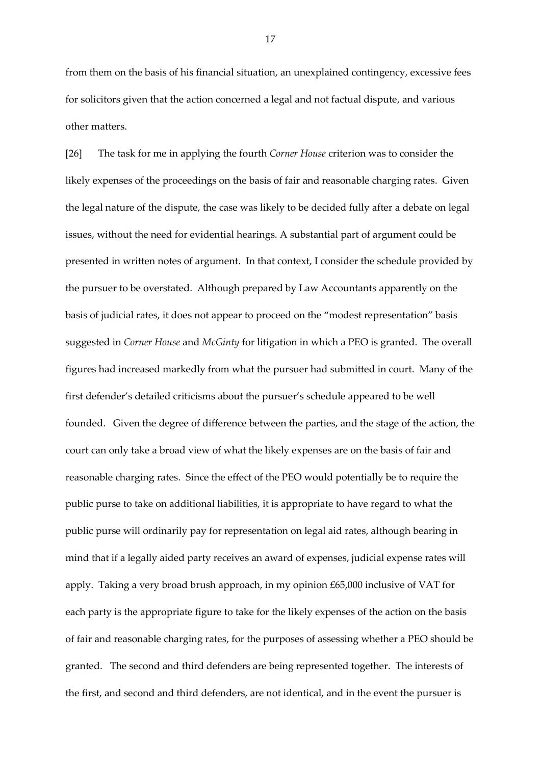from them on the basis of his financial situation, an unexplained contingency, excessive fees for solicitors given that the action concerned a legal and not factual dispute, and various other matters.

[26] The task for me in applying the fourth *Corner House* criterion was to consider the likely expenses of the proceedings on the basis of fair and reasonable charging rates. Given the legal nature of the dispute, the case was likely to be decided fully after a debate on legal issues, without the need for evidential hearings. A substantial part of argument could be presented in written notes of argument. In that context, I consider the schedule provided by the pursuer to be overstated. Although prepared by Law Accountants apparently on the basis of judicial rates, it does not appear to proceed on the "modest representation" basis suggested in *Corner House* and *McGinty* for litigation in which a PEO is granted. The overall figures had increased markedly from what the pursuer had submitted in court. Many of the first defender's detailed criticisms about the pursuer's schedule appeared to be well founded. Given the degree of difference between the parties, and the stage of the action, the court can only take a broad view of what the likely expenses are on the basis of fair and reasonable charging rates. Since the effect of the PEO would potentially be to require the public purse to take on additional liabilities, it is appropriate to have regard to what the public purse will ordinarily pay for representation on legal aid rates, although bearing in mind that if a legally aided party receives an award of expenses, judicial expense rates will apply. Taking a very broad brush approach, in my opinion £65,000 inclusive of VAT for each party is the appropriate figure to take for the likely expenses of the action on the basis of fair and reasonable charging rates, for the purposes of assessing whether a PEO should be granted. The second and third defenders are being represented together. The interests of the first, and second and third defenders, are not identical, and in the event the pursuer is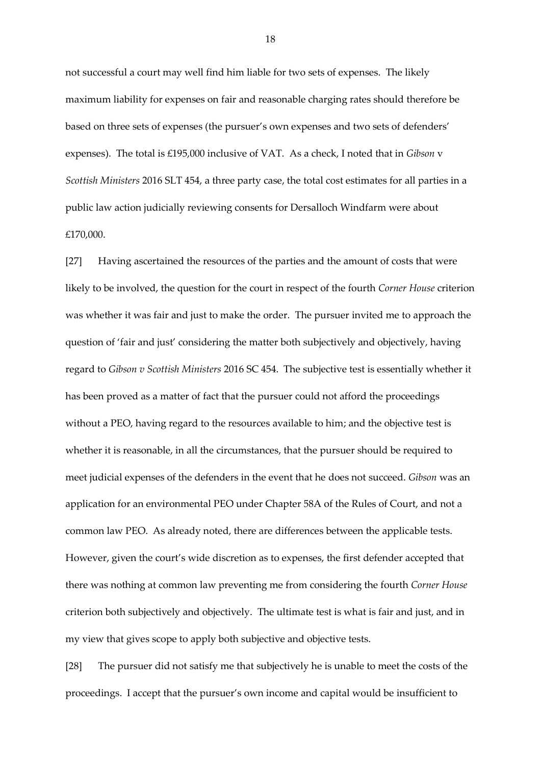not successful a court may well find him liable for two sets of expenses. The likely maximum liability for expenses on fair and reasonable charging rates should therefore be based on three sets of expenses (the pursuer's own expenses and two sets of defenders' expenses). The total is £195,000 inclusive of VAT. As a check, I noted that in *Gibson* v *Scottish Ministers* 2016 SLT 454, a three party case, the total cost estimates for all parties in a public law action judicially reviewing consents for Dersalloch Windfarm were about £170,000.

[27] Having ascertained the resources of the parties and the amount of costs that were likely to be involved, the question for the court in respect of the fourth *Corner House* criterion was whether it was fair and just to make the order. The pursuer invited me to approach the question of 'fair and just' considering the matter both subjectively and objectively, having regard to *Gibson v Scottish Ministers* 2016 SC 454. The subjective test is essentially whether it has been proved as a matter of fact that the pursuer could not afford the proceedings without a PEO, having regard to the resources available to him; and the objective test is whether it is reasonable, in all the circumstances, that the pursuer should be required to meet judicial expenses of the defenders in the event that he does not succeed. *Gibson* was an application for an environmental PEO under Chapter 58A of the Rules of Court, and not a common law PEO. As already noted, there are differences between the applicable tests. However, given the court's wide discretion as to expenses, the first defender accepted that there was nothing at common law preventing me from considering the fourth *Corner House* criterion both subjectively and objectively. The ultimate test is what is fair and just, and in my view that gives scope to apply both subjective and objective tests.

[28] The pursuer did not satisfy me that subjectively he is unable to meet the costs of the proceedings. I accept that the pursuer's own income and capital would be insufficient to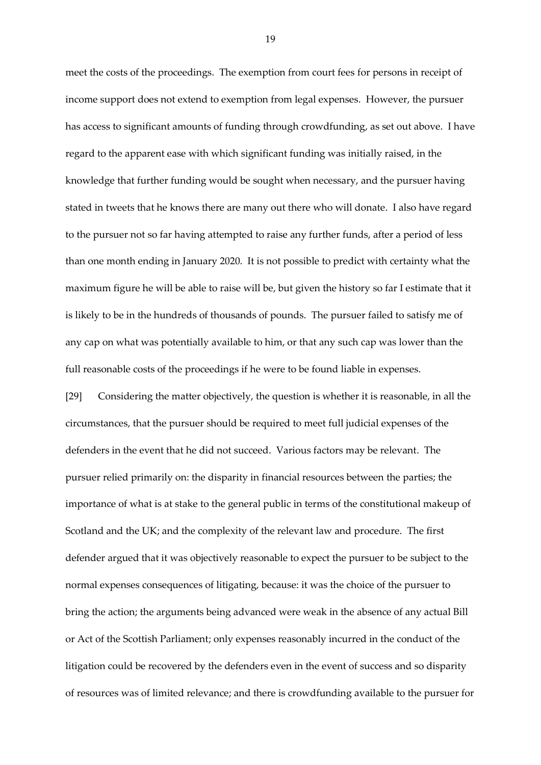meet the costs of the proceedings. The exemption from court fees for persons in receipt of income support does not extend to exemption from legal expenses. However, the pursuer has access to significant amounts of funding through crowdfunding, as set out above. I have regard to the apparent ease with which significant funding was initially raised, in the knowledge that further funding would be sought when necessary, and the pursuer having stated in tweets that he knows there are many out there who will donate. I also have regard to the pursuer not so far having attempted to raise any further funds, after a period of less than one month ending in January 2020. It is not possible to predict with certainty what the maximum figure he will be able to raise will be, but given the history so far I estimate that it is likely to be in the hundreds of thousands of pounds. The pursuer failed to satisfy me of any cap on what was potentially available to him, or that any such cap was lower than the full reasonable costs of the proceedings if he were to be found liable in expenses.

[29] Considering the matter objectively, the question is whether it is reasonable, in all the circumstances, that the pursuer should be required to meet full judicial expenses of the defenders in the event that he did not succeed. Various factors may be relevant. The pursuer relied primarily on: the disparity in financial resources between the parties; the importance of what is at stake to the general public in terms of the constitutional makeup of Scotland and the UK; and the complexity of the relevant law and procedure. The first defender argued that it was objectively reasonable to expect the pursuer to be subject to the normal expenses consequences of litigating, because: it was the choice of the pursuer to bring the action; the arguments being advanced were weak in the absence of any actual Bill or Act of the Scottish Parliament; only expenses reasonably incurred in the conduct of the litigation could be recovered by the defenders even in the event of success and so disparity of resources was of limited relevance; and there is crowdfunding available to the pursuer for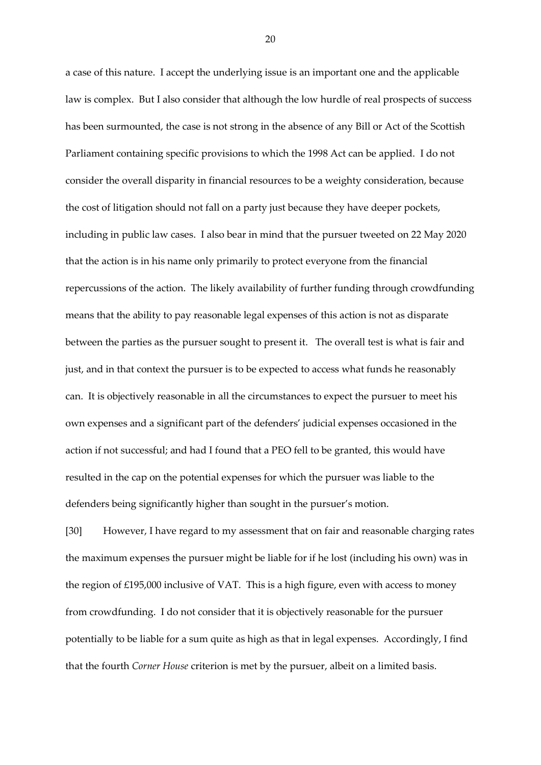a case of this nature. I accept the underlying issue is an important one and the applicable law is complex. But I also consider that although the low hurdle of real prospects of success has been surmounted, the case is not strong in the absence of any Bill or Act of the Scottish Parliament containing specific provisions to which the 1998 Act can be applied. I do not consider the overall disparity in financial resources to be a weighty consideration, because the cost of litigation should not fall on a party just because they have deeper pockets, including in public law cases. I also bear in mind that the pursuer tweeted on 22 May 2020 that the action is in his name only primarily to protect everyone from the financial repercussions of the action. The likely availability of further funding through crowdfunding means that the ability to pay reasonable legal expenses of this action is not as disparate between the parties as the pursuer sought to present it. The overall test is what is fair and just, and in that context the pursuer is to be expected to access what funds he reasonably can. It is objectively reasonable in all the circumstances to expect the pursuer to meet his own expenses and a significant part of the defenders' judicial expenses occasioned in the action if not successful; and had I found that a PEO fell to be granted, this would have resulted in the cap on the potential expenses for which the pursuer was liable to the defenders being significantly higher than sought in the pursuer's motion.

[30] However, I have regard to my assessment that on fair and reasonable charging rates the maximum expenses the pursuer might be liable for if he lost (including his own) was in the region of £195,000 inclusive of VAT. This is a high figure, even with access to money from crowdfunding. I do not consider that it is objectively reasonable for the pursuer potentially to be liable for a sum quite as high as that in legal expenses. Accordingly, I find that the fourth *Corner House* criterion is met by the pursuer, albeit on a limited basis.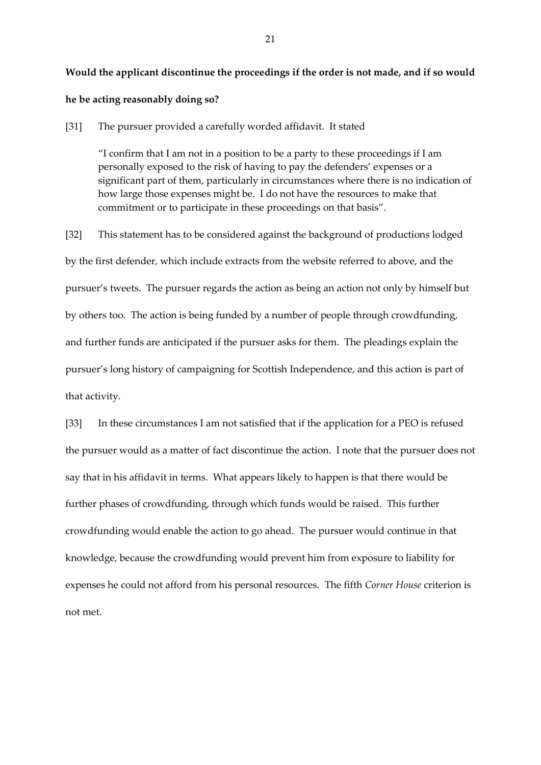## **Would the applicant discontinue the proceedings if the order is not made, and if so would**

## **he be acting reasonably doing so?**

[31] The pursuer provided a carefully worded affidavit. It stated

"I confirm that I am not in a position to be a party to these proceedings if I am personally exposed to the risk of having to pay the defenders' expenses or a significant part of them, particularly in circumstances where there is no indication of how large those expenses might be. I do not have the resources to make that commitment or to participate in these proceedings on that basis".

[32] This statement has to be considered against the background of productions lodged by the first defender, which include extracts from the website referred to above, and the pursuer's tweets. The pursuer regards the action as being an action not only by himself but by others too. The action is being funded by a number of people through crowdfunding, and further funds are anticipated if the pursuer asks for them. The pleadings explain the pursuer's long history of campaigning for Scottish Independence, and this action is part of that activity.

[33] In these circumstances I am not satisfied that if the application for a PEO is refused the pursuer would as a matter of fact discontinue the action. I note that the pursuer does not say that in his affidavit in terms. What appears likely to happen is that there would be further phases of crowdfunding, through which funds would be raised. This further crowdfunding would enable the action to go ahead. The pursuer would continue in that knowledge, because the crowdfunding would prevent him from exposure to liability for expenses he could not afford from his personal resources. The fifth *Corner House* criterion is not met.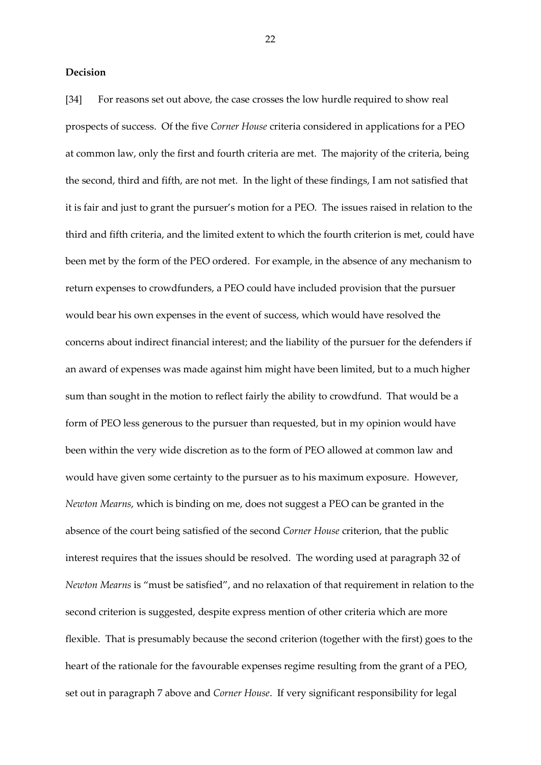## **Decision**

[34] For reasons set out above, the case crosses the low hurdle required to show real prospects of success. Of the five *Corner House* criteria considered in applications for a PEO at common law, only the first and fourth criteria are met. The majority of the criteria, being the second, third and fifth, are not met. In the light of these findings, I am not satisfied that it is fair and just to grant the pursuer's motion for a PEO. The issues raised in relation to the third and fifth criteria, and the limited extent to which the fourth criterion is met, could have been met by the form of the PEO ordered. For example, in the absence of any mechanism to return expenses to crowdfunders, a PEO could have included provision that the pursuer would bear his own expenses in the event of success, which would have resolved the concerns about indirect financial interest; and the liability of the pursuer for the defenders if an award of expenses was made against him might have been limited, but to a much higher sum than sought in the motion to reflect fairly the ability to crowdfund. That would be a form of PEO less generous to the pursuer than requested, but in my opinion would have been within the very wide discretion as to the form of PEO allowed at common law and would have given some certainty to the pursuer as to his maximum exposure. However, *Newton Mearns*, which is binding on me, does not suggest a PEO can be granted in the absence of the court being satisfied of the second *Corner House* criterion, that the public interest requires that the issues should be resolved. The wording used at paragraph 32 of *Newton Mearns* is "must be satisfied", and no relaxation of that requirement in relation to the second criterion is suggested, despite express mention of other criteria which are more flexible. That is presumably because the second criterion (together with the first) goes to the heart of the rationale for the favourable expenses regime resulting from the grant of a PEO, set out in paragraph 7 above and *Corner House*. If very significant responsibility for legal